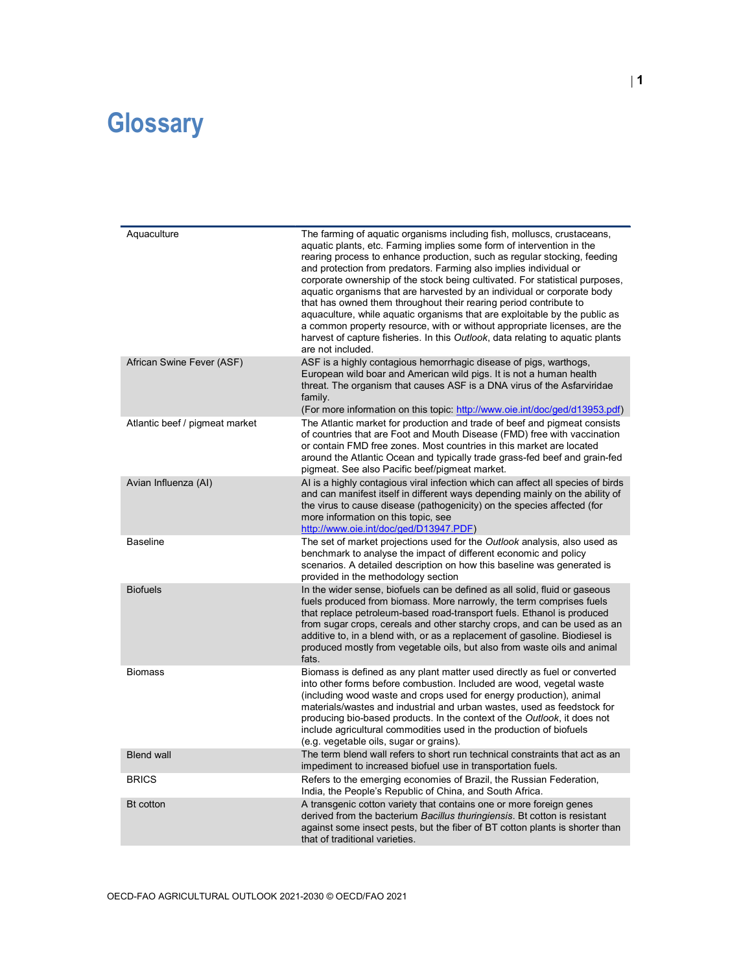## **Glossary**

| Aquaculture                    | The farming of aquatic organisms including fish, molluscs, crustaceans,<br>aquatic plants, etc. Farming implies some form of intervention in the<br>rearing process to enhance production, such as regular stocking, feeding<br>and protection from predators. Farming also implies individual or<br>corporate ownership of the stock being cultivated. For statistical purposes,<br>aquatic organisms that are harvested by an individual or corporate body<br>that has owned them throughout their rearing period contribute to<br>aquaculture, while aquatic organisms that are exploitable by the public as<br>a common property resource, with or without appropriate licenses, are the<br>harvest of capture fisheries. In this <i>Outlook</i> , data relating to aquatic plants<br>are not included. |
|--------------------------------|-------------------------------------------------------------------------------------------------------------------------------------------------------------------------------------------------------------------------------------------------------------------------------------------------------------------------------------------------------------------------------------------------------------------------------------------------------------------------------------------------------------------------------------------------------------------------------------------------------------------------------------------------------------------------------------------------------------------------------------------------------------------------------------------------------------|
| African Swine Fever (ASF)      | ASF is a highly contagious hemorrhagic disease of pigs, warthogs,<br>European wild boar and American wild pigs. It is not a human health<br>threat. The organism that causes ASF is a DNA virus of the Asfarviridae<br>family.<br>(For more information on this topic: http://www.oie.int/doc/ged/d13953.pdf)                                                                                                                                                                                                                                                                                                                                                                                                                                                                                               |
| Atlantic beef / pigmeat market | The Atlantic market for production and trade of beef and pigmeat consists<br>of countries that are Foot and Mouth Disease (FMD) free with vaccination<br>or contain FMD free zones. Most countries in this market are located<br>around the Atlantic Ocean and typically trade grass-fed beef and grain-fed<br>pigmeat. See also Pacific beef/pigmeat market.                                                                                                                                                                                                                                                                                                                                                                                                                                               |
| Avian Influenza (AI)           | AI is a highly contagious viral infection which can affect all species of birds<br>and can manifest itself in different ways depending mainly on the ability of<br>the virus to cause disease (pathogenicity) on the species affected (for<br>more information on this topic, see<br>http://www.oie.int/doc/ged/D13947.PDF)                                                                                                                                                                                                                                                                                                                                                                                                                                                                                 |
| <b>Baseline</b>                | The set of market projections used for the <i>Outlook</i> analysis, also used as<br>benchmark to analyse the impact of different economic and policy<br>scenarios. A detailed description on how this baseline was generated is<br>provided in the methodology section                                                                                                                                                                                                                                                                                                                                                                                                                                                                                                                                      |
| <b>Biofuels</b>                | In the wider sense, biofuels can be defined as all solid, fluid or gaseous<br>fuels produced from biomass. More narrowly, the term comprises fuels<br>that replace petroleum-based road-transport fuels. Ethanol is produced<br>from sugar crops, cereals and other starchy crops, and can be used as an<br>additive to, in a blend with, or as a replacement of gasoline. Biodiesel is<br>produced mostly from vegetable oils, but also from waste oils and animal<br>fats.                                                                                                                                                                                                                                                                                                                                |
| <b>Biomass</b>                 | Biomass is defined as any plant matter used directly as fuel or converted<br>into other forms before combustion. Included are wood, vegetal waste<br>(including wood waste and crops used for energy production), animal<br>materials/wastes and industrial and urban wastes, used as feedstock for<br>producing bio-based products. In the context of the Outlook, it does not<br>include agricultural commodities used in the production of biofuels<br>(e.g. vegetable oils, sugar or grains).                                                                                                                                                                                                                                                                                                           |
| <b>Blend wall</b>              | The term blend wall refers to short run technical constraints that act as an<br>impediment to increased biofuel use in transportation fuels.                                                                                                                                                                                                                                                                                                                                                                                                                                                                                                                                                                                                                                                                |
| <b>BRICS</b>                   | Refers to the emerging economies of Brazil, the Russian Federation,<br>India, the People's Republic of China, and South Africa.                                                                                                                                                                                                                                                                                                                                                                                                                                                                                                                                                                                                                                                                             |
| <b>Bt</b> cotton               | A transgenic cotton variety that contains one or more foreign genes<br>derived from the bacterium Bacillus thuringiensis. Bt cotton is resistant<br>against some insect pests, but the fiber of BT cotton plants is shorter than<br>that of traditional varieties.                                                                                                                                                                                                                                                                                                                                                                                                                                                                                                                                          |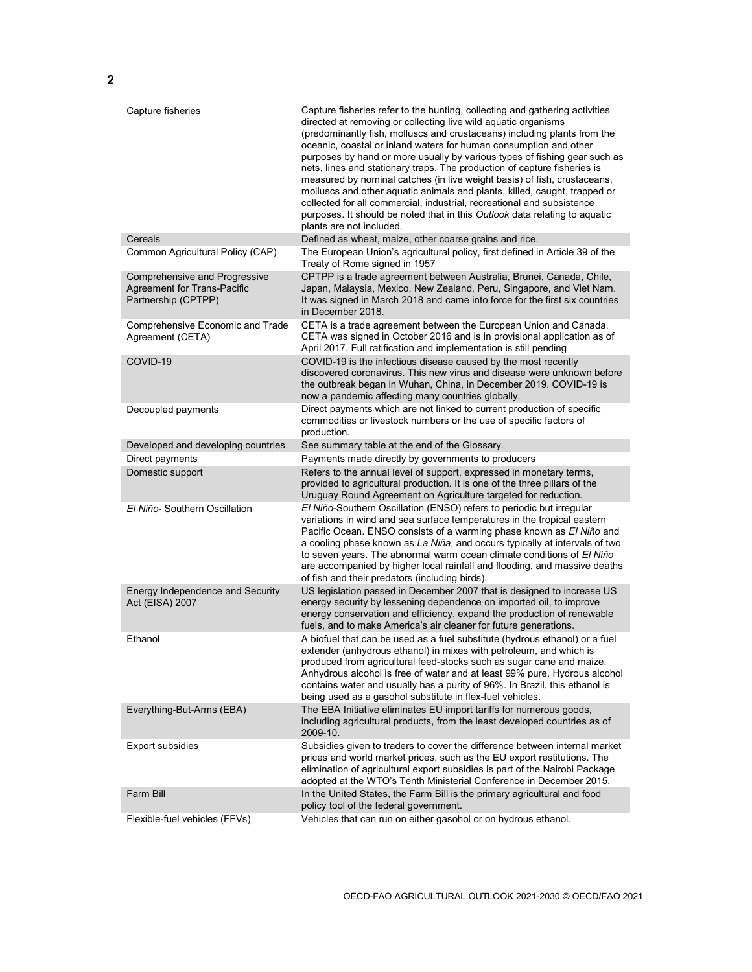## $2|$

| Capture fisheries                                                                          | Capture fisheries refer to the hunting, collecting and gathering activities<br>directed at removing or collecting live wild aquatic organisms<br>(predominantly fish, molluscs and crustaceans) including plants from the<br>oceanic, coastal or inland waters for human consumption and other<br>purposes by hand or more usually by various types of fishing gear such as<br>nets, lines and stationary traps. The production of capture fisheries is<br>measured by nominal catches (in live weight basis) of fish, crustaceans,<br>molluscs and other aquatic animals and plants, killed, caught, trapped or<br>collected for all commercial, industrial, recreational and subsistence<br>purposes. It should be noted that in this Outlook data relating to aquatic<br>plants are not included. |
|--------------------------------------------------------------------------------------------|------------------------------------------------------------------------------------------------------------------------------------------------------------------------------------------------------------------------------------------------------------------------------------------------------------------------------------------------------------------------------------------------------------------------------------------------------------------------------------------------------------------------------------------------------------------------------------------------------------------------------------------------------------------------------------------------------------------------------------------------------------------------------------------------------|
| Cereals                                                                                    | Defined as wheat, maize, other coarse grains and rice.                                                                                                                                                                                                                                                                                                                                                                                                                                                                                                                                                                                                                                                                                                                                               |
| Common Agricultural Policy (CAP)                                                           | The European Union's agricultural policy, first defined in Article 39 of the<br>Treaty of Rome signed in 1957                                                                                                                                                                                                                                                                                                                                                                                                                                                                                                                                                                                                                                                                                        |
| Comprehensive and Progressive<br><b>Agreement for Trans-Pacific</b><br>Partnership (CPTPP) | CPTPP is a trade agreement between Australia, Brunei, Canada, Chile,<br>Japan, Malaysia, Mexico, New Zealand, Peru, Singapore, and Viet Nam.<br>It was signed in March 2018 and came into force for the first six countries<br>in December 2018.                                                                                                                                                                                                                                                                                                                                                                                                                                                                                                                                                     |
| Comprehensive Economic and Trade<br>Agreement (CETA)                                       | CETA is a trade agreement between the European Union and Canada.<br>CETA was signed in October 2016 and is in provisional application as of<br>April 2017. Full ratification and implementation is still pending                                                                                                                                                                                                                                                                                                                                                                                                                                                                                                                                                                                     |
| COVID-19                                                                                   | COVID-19 is the infectious disease caused by the most recently<br>discovered coronavirus. This new virus and disease were unknown before<br>the outbreak began in Wuhan, China, in December 2019. COVID-19 is<br>now a pandemic affecting many countries globally.                                                                                                                                                                                                                                                                                                                                                                                                                                                                                                                                   |
| Decoupled payments                                                                         | Direct payments which are not linked to current production of specific<br>commodities or livestock numbers or the use of specific factors of<br>production.                                                                                                                                                                                                                                                                                                                                                                                                                                                                                                                                                                                                                                          |
| Developed and developing countries                                                         | See summary table at the end of the Glossary.                                                                                                                                                                                                                                                                                                                                                                                                                                                                                                                                                                                                                                                                                                                                                        |
| Direct payments                                                                            | Payments made directly by governments to producers                                                                                                                                                                                                                                                                                                                                                                                                                                                                                                                                                                                                                                                                                                                                                   |
| Domestic support                                                                           | Refers to the annual level of support, expressed in monetary terms,<br>provided to agricultural production. It is one of the three pillars of the<br>Uruguay Round Agreement on Agriculture targeted for reduction.                                                                                                                                                                                                                                                                                                                                                                                                                                                                                                                                                                                  |
| El Niño- Southern Oscillation                                                              | El Niño-Southern Oscillation (ENSO) refers to periodic but irregular<br>variations in wind and sea surface temperatures in the tropical eastern<br>Pacific Ocean. ENSO consists of a warming phase known as El Niño and<br>a cooling phase known as La Niña, and occurs typically at intervals of two<br>to seven years. The abnormal warm ocean climate conditions of El Niño<br>are accompanied by higher local rainfall and flooding, and massive deaths<br>of fish and their predators (including birds).                                                                                                                                                                                                                                                                                        |
| Energy Independence and Security<br>Act (EISA) 2007                                        | US legislation passed in December 2007 that is designed to increase US<br>energy security by lessening dependence on imported oil, to improve<br>energy conservation and efficiency, expand the production of renewable<br>fuels, and to make America's air cleaner for future generations.                                                                                                                                                                                                                                                                                                                                                                                                                                                                                                          |
| Ethanol                                                                                    | A biofuel that can be used as a fuel substitute (hydrous ethanol) or a fuel<br>extender (anhydrous ethanol) in mixes with petroleum, and which is<br>produced from agricultural feed-stocks such as sugar cane and maize.<br>Anhydrous alcohol is free of water and at least 99% pure. Hydrous alcohol<br>contains water and usually has a purity of 96%. In Brazil, this ethanol is<br>being used as a gasohol substitute in flex-fuel vehicles.                                                                                                                                                                                                                                                                                                                                                    |
| Everything-But-Arms (EBA)                                                                  | The EBA Initiative eliminates EU import tariffs for numerous goods,<br>including agricultural products, from the least developed countries as of<br>2009-10.                                                                                                                                                                                                                                                                                                                                                                                                                                                                                                                                                                                                                                         |
| Export subsidies                                                                           | Subsidies given to traders to cover the difference between internal market<br>prices and world market prices, such as the EU export restitutions. The<br>elimination of agricultural export subsidies is part of the Nairobi Package<br>adopted at the WTO's Tenth Ministerial Conference in December 2015.                                                                                                                                                                                                                                                                                                                                                                                                                                                                                          |
| Farm Bill                                                                                  | In the United States, the Farm Bill is the primary agricultural and food<br>policy tool of the federal government.                                                                                                                                                                                                                                                                                                                                                                                                                                                                                                                                                                                                                                                                                   |
| Flexible-fuel vehicles (FFVs)                                                              | Vehicles that can run on either gasohol or on hydrous ethanol.                                                                                                                                                                                                                                                                                                                                                                                                                                                                                                                                                                                                                                                                                                                                       |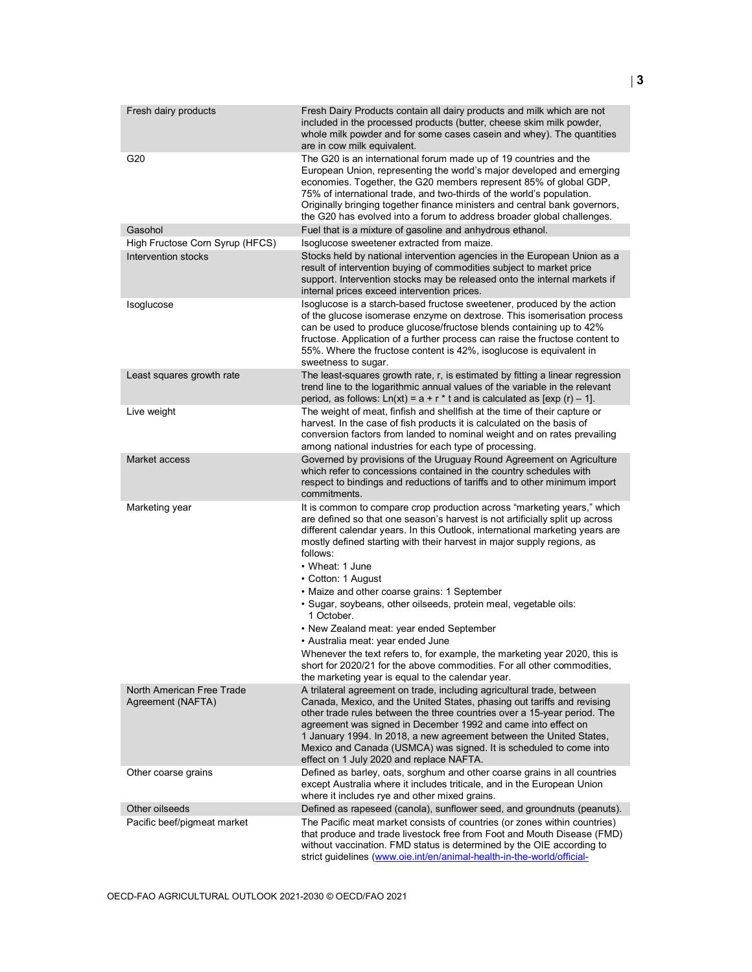| Fresh dairy products                           | Fresh Dairy Products contain all dairy products and milk which are not<br>included in the processed products (butter, cheese skim milk powder,<br>whole milk powder and for some cases casein and whey). The quantities<br>are in cow milk equivalent.                                                                                                                                                                                                                                  |
|------------------------------------------------|-----------------------------------------------------------------------------------------------------------------------------------------------------------------------------------------------------------------------------------------------------------------------------------------------------------------------------------------------------------------------------------------------------------------------------------------------------------------------------------------|
| G <sub>20</sub>                                | The G20 is an international forum made up of 19 countries and the<br>European Union, representing the world's major developed and emerging<br>economies. Together, the G20 members represent 85% of global GDP,<br>75% of international trade, and two-thirds of the world's population.<br>Originally bringing together finance ministers and central bank governors,<br>the G20 has evolved into a forum to address broader global challenges.                                        |
| Gasohol                                        | Fuel that is a mixture of gasoline and anhydrous ethanol.                                                                                                                                                                                                                                                                                                                                                                                                                               |
| High Fructose Corn Syrup (HFCS)                | Isoglucose sweetener extracted from maize.                                                                                                                                                                                                                                                                                                                                                                                                                                              |
| Intervention stocks                            | Stocks held by national intervention agencies in the European Union as a<br>result of intervention buying of commodities subject to market price<br>support. Intervention stocks may be released onto the internal markets if<br>internal prices exceed intervention prices.                                                                                                                                                                                                            |
| Isoglucose                                     | Isoglucose is a starch-based fructose sweetener, produced by the action<br>of the glucose isomerase enzyme on dextrose. This isomerisation process<br>can be used to produce glucose/fructose blends containing up to 42%<br>fructose. Application of a further process can raise the fructose content to<br>55%. Where the fructose content is 42%, isoglucose is equivalent in<br>sweetness to sugar.                                                                                 |
| Least squares growth rate                      | The least-squares growth rate, r, is estimated by fitting a linear regression<br>trend line to the logarithmic annual values of the variable in the relevant<br>period, as follows: $Ln(xt) = a + r * t$ and is calculated as $[exp(r) - 1]$ .                                                                                                                                                                                                                                          |
| Live weight                                    | The weight of meat, finfish and shellfish at the time of their capture or<br>harvest. In the case of fish products it is calculated on the basis of<br>conversion factors from landed to nominal weight and on rates prevailing<br>among national industries for each type of processing.                                                                                                                                                                                               |
| Market access                                  | Governed by provisions of the Uruguay Round Agreement on Agriculture<br>which refer to concessions contained in the country schedules with<br>respect to bindings and reductions of tariffs and to other minimum import<br>commitments.                                                                                                                                                                                                                                                 |
| Marketing year                                 | It is common to compare crop production across "marketing years," which<br>are defined so that one season's harvest is not artificially split up across<br>different calendar years. In this Outlook, international marketing years are<br>mostly defined starting with their harvest in major supply regions, as<br>follows:<br>• Wheat: 1 June                                                                                                                                        |
|                                                | • Cotton: 1 August<br>• Maize and other coarse grains: 1 September                                                                                                                                                                                                                                                                                                                                                                                                                      |
|                                                | · Sugar, soybeans, other oilseeds, protein meal, vegetable oils:<br>1 October.                                                                                                                                                                                                                                                                                                                                                                                                          |
|                                                | • New Zealand meat: year ended September<br>• Australia meat: year ended June                                                                                                                                                                                                                                                                                                                                                                                                           |
|                                                | Whenever the text refers to, for example, the marketing year 2020, this is<br>short for 2020/21 for the above commodities. For all other commodities,<br>the marketing year is equal to the calendar year.                                                                                                                                                                                                                                                                              |
| North American Free Trade<br>Agreement (NAFTA) | A trilateral agreement on trade, including agricultural trade, between<br>Canada, Mexico, and the United States, phasing out tariffs and revising<br>other trade rules between the three countries over a 15-year period. The<br>agreement was signed in December 1992 and came into effect on<br>1 January 1994. In 2018, a new agreement between the United States,<br>Mexico and Canada (USMCA) was signed. It is scheduled to come into<br>effect on 1 July 2020 and replace NAFTA. |
| Other coarse grains                            | Defined as barley, oats, sorghum and other coarse grains in all countries<br>except Australia where it includes triticale, and in the European Union<br>where it includes rye and other mixed grains.                                                                                                                                                                                                                                                                                   |
| Other oilseeds                                 | Defined as rapeseed (canola), sunflower seed, and groundnuts (peanuts).                                                                                                                                                                                                                                                                                                                                                                                                                 |
| Pacific beef/pigmeat market                    | The Pacific meat market consists of countries (or zones within countries)<br>that produce and trade livestock free from Foot and Mouth Disease (FMD)<br>without vaccination. FMD status is determined by the OIE according to<br>strict guidelines (www.oie.int/en/animal-health-in-the-world/official-                                                                                                                                                                                 |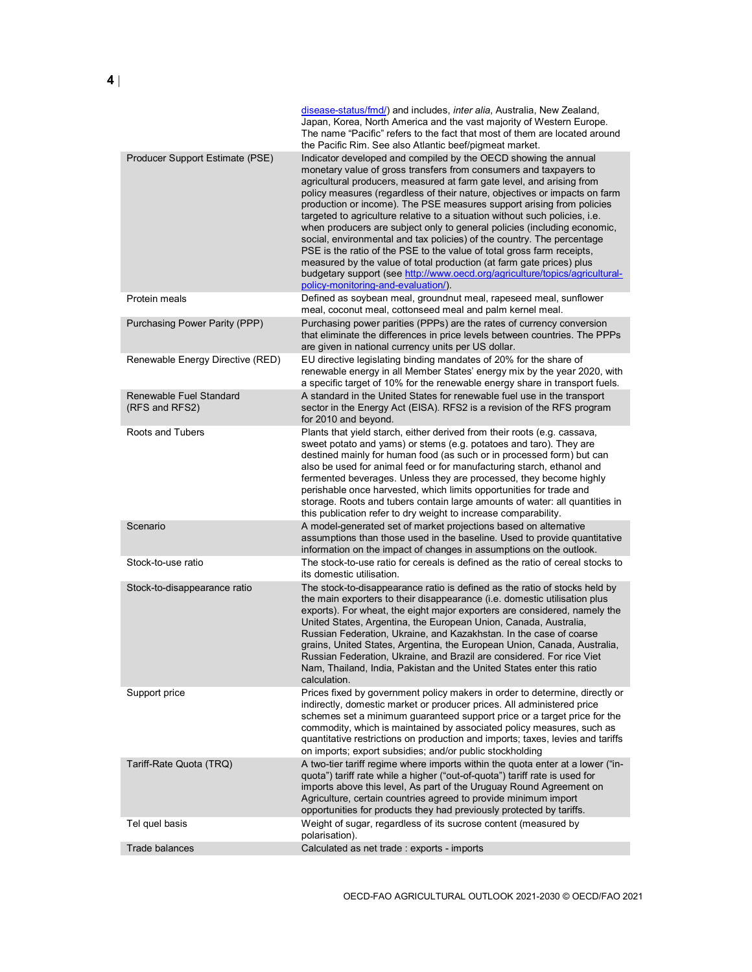disease-status/fmd/) and includes, inter alia, Australia, New Zealand, Japan, Korea, North America and the vast majority of Western Europe. The name "Pacific" refers to the fact that most of them are located around the Pacific Rim. See also Atlantic beef/pigmeat market. Producer Support Estimate (PSE) Indicator developed and compiled by the OECD showing the annual monetary value of gross transfers from consumers and taxpayers to agricultural producers, measured at farm gate level, and arising from policy measures (regardless of their nature, objectives or impacts on farm production or income). The PSE measures support arising from policies targeted to agriculture relative to a situation without such policies, i.e. when producers are subject only to general policies (including economic, social, environmental and tax policies) of the country. The percentage PSE is the ratio of the PSE to the value of total gross farm receipts, measured by the value of total production (at farm gate prices) plus budgetary support (see http://www.oecd.org/agriculture/topics/agriculturalpolicy-monitoring-and-evaluation/). Protein meals Defined as soybean meal, groundnut meal, rapeseed meal, sunflower meal, coconut meal, cottonseed meal and palm kernel meal. Purchasing Power Parity (PPP) Purchasing power parities (PPPs) are the rates of currency conversion that eliminate the differences in price levels between countries. The PPPs are given in national currency units per US dollar. Renewable Energy Directive (RED) EU directive legislating binding mandates of 20% for the share of renewable energy in all Member States' energy mix by the year 2020, with a specific target of 10% for the renewable energy share in transport fuels. Renewable Fuel Standard (RFS and RFS2) A standard in the United States for renewable fuel use in the transport sector in the Energy Act (EISA). RFS2 is a revision of the RFS program for 2010 and beyond. Roots and Tubers **Plants that yield starch, either derived from their roots (e.g. cassava,** sweet potato and yams) or stems (e.g. potatoes and taro). They are destined mainly for human food (as such or in processed form) but can also be used for animal feed or for manufacturing starch, ethanol and fermented beverages. Unless they are processed, they become highly perishable once harvested, which limits opportunities for trade and storage. Roots and tubers contain large amounts of water: all quantities in this publication refer to dry weight to increase comparability. Scenario **A** model-generated set of market projections based on alternative assumptions than those used in the baseline. Used to provide quantitative information on the impact of changes in assumptions on the outlook. Stock-to-use ratio The stock-to-use ratio for cereals is defined as the ratio of cereal stocks to its domestic utilisation. Stock-to-disappearance ratio The stock-to-disappearance ratio is defined as the ratio of stocks held by the main exporters to their disappearance (i.e. domestic utilisation plus exports). For wheat, the eight major exporters are considered, namely the United States, Argentina, the European Union, Canada, Australia, Russian Federation, Ukraine, and Kazakhstan. In the case of coarse grains, United States, Argentina, the European Union, Canada, Australia, Russian Federation, Ukraine, and Brazil are considered. For rice Viet Nam, Thailand, India, Pakistan and the United States enter this ratio calculation. Support price **Prices fixed by government policy makers in order to determine, directly or** indirectly, domestic market or producer prices. All administered price schemes set a minimum guaranteed support price or a target price for the commodity, which is maintained by associated policy measures, such as quantitative restrictions on production and imports; taxes, levies and tariffs on imports; export subsidies; and/or public stockholding Tariff-Rate Quota (TRQ) A two-tier tariff regime where imports within the quota enter at a lower ("inquota") tariff rate while a higher ("out-of-quota") tariff rate is used for imports above this level, As part of the Uruguay Round Agreement on Agriculture, certain countries agreed to provide minimum import opportunities for products they had previously protected by tariffs. Tel quel basis Weight of sugar, regardless of its sucrose content (measured by polarisation). Trade balances Calculated as net trade : exports - imports